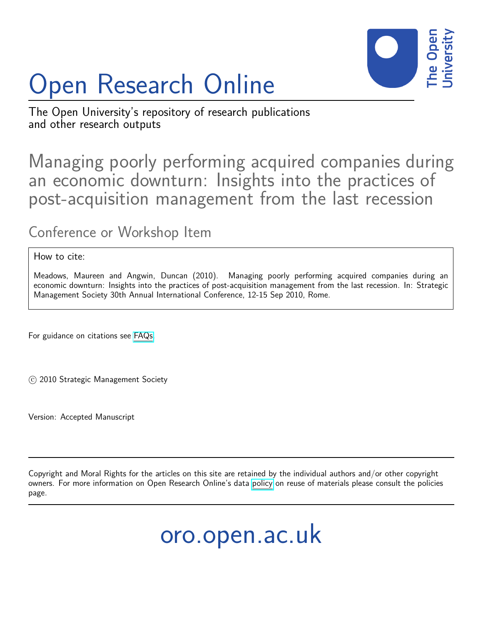

# Open Research Online

The Open University's repository of research publications and other research outputs

Managing poorly performing acquired companies during an economic downturn: Insights into the practices of post-acquisition management from the last recession

Conference or Workshop Item

How to cite:

Meadows, Maureen and Angwin, Duncan (2010). Managing poorly performing acquired companies during an economic downturn: Insights into the practices of post-acquisition management from the last recession. In: Strategic Management Society 30th Annual International Conference, 12-15 Sep 2010, Rome.

For guidance on citations see [FAQs.](http://oro.open.ac.uk/help/helpfaq.html)

c 2010 Strategic Management Society

Version: Accepted Manuscript

Copyright and Moral Rights for the articles on this site are retained by the individual authors and/or other copyright owners. For more information on Open Research Online's data [policy](http://oro.open.ac.uk/policies.html) on reuse of materials please consult the policies page.

oro.open.ac.uk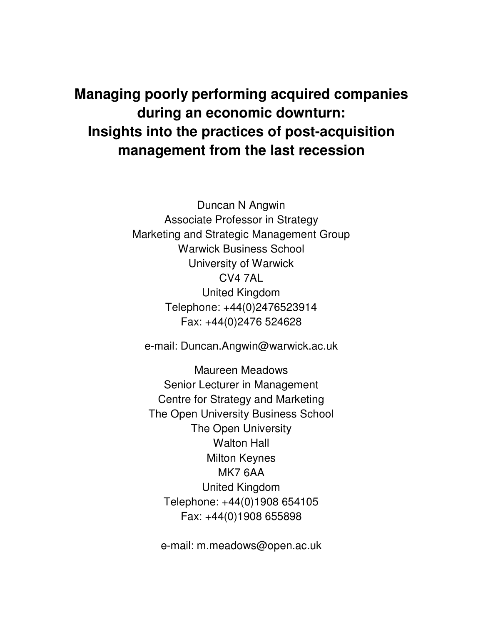# **Managing poorly performing acquired companies during an economic downturn: Insights into the practices of post-acquisition management from the last recession**

Duncan N Angwin Associate Professor in Strategy Marketing and Strategic Management Group Warwick Business School University of Warwick CV4 7AL United Kingdom Telephone: +44(0)2476523914 Fax: +44(0)2476 524628

e-mail: Duncan.Angwin@warwick.ac.uk

Maureen Meadows Senior Lecturer in Management Centre for Strategy and Marketing The Open University Business School The Open University Walton Hall Milton Keynes MK7 6AA United Kingdom Telephone: +44(0)1908 654105 Fax: +44(0)1908 655898

e-mail: m.meadows@open.ac.uk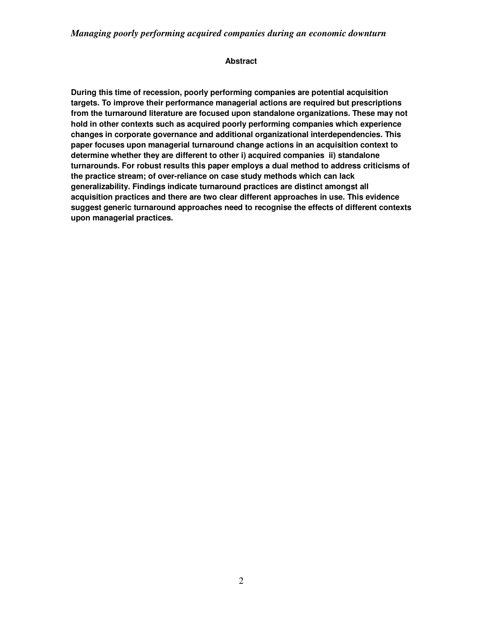#### **Abstract**

**During this time of recession, poorly performing companies are potential acquisition targets. To improve their performance managerial actions are required but prescriptions from the turnaround literature are focused upon standalone organizations. These may not hold in other contexts such as acquired poorly performing companies which experience changes in corporate governance and additional organizational interdependencies. This paper focuses upon managerial turnaround change actions in an acquisition context to determine whether they are different to other i) acquired companies ii) standalone turnarounds. For robust results this paper employs a dual method to address criticisms of the practice stream; of over-reliance on case study methods which can lack generalizability. Findings indicate turnaround practices are distinct amongst all acquisition practices and there are two clear different approaches in use. This evidence suggest generic turnaround approaches need to recognise the effects of different contexts upon managerial practices.**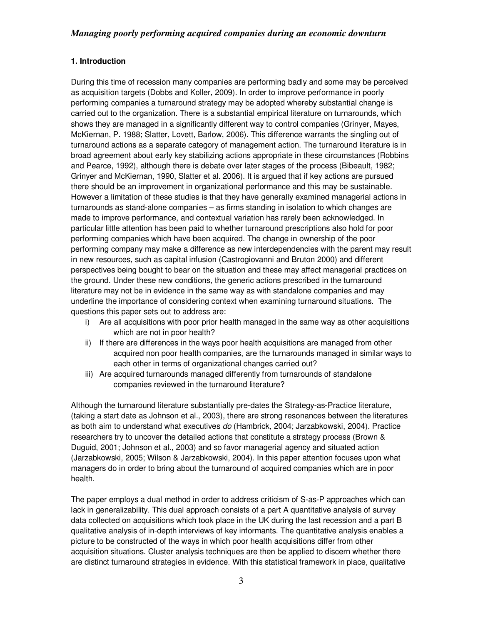# **1. Introduction**

During this time of recession many companies are performing badly and some may be perceived as acquisition targets (Dobbs and Koller, 2009). In order to improve performance in poorly performing companies a turnaround strategy may be adopted whereby substantial change is carried out to the organization. There is a substantial empirical literature on turnarounds, which shows they are managed in a significantly different way to control companies (Grinyer, Mayes, McKiernan, P. 1988; Slatter, Lovett, Barlow, 2006). This difference warrants the singling out of turnaround actions as a separate category of management action. The turnaround literature is in broad agreement about early key stabilizing actions appropriate in these circumstances (Robbins and Pearce, 1992), although there is debate over later stages of the process (Bibeault, 1982; Grinyer and McKiernan, 1990, Slatter et al. 2006). It is argued that if key actions are pursued there should be an improvement in organizational performance and this may be sustainable. However a limitation of these studies is that they have generally examined managerial actions in turnarounds as stand-alone companies – as firms standing in isolation to which changes are made to improve performance, and contextual variation has rarely been acknowledged. In particular little attention has been paid to whether turnaround prescriptions also hold for poor performing companies which have been acquired. The change in ownership of the poor performing company may make a difference as new interdependencies with the parent may result in new resources, such as capital infusion (Castrogiovanni and Bruton 2000) and different perspectives being bought to bear on the situation and these may affect managerial practices on the ground. Under these new conditions, the generic actions prescribed in the turnaround literature may not be in evidence in the same way as with standalone companies and may underline the importance of considering context when examining turnaround situations. The questions this paper sets out to address are:

- i) Are all acquisitions with poor prior health managed in the same way as other acquisitions which are not in poor health?
- ii) If there are differences in the ways poor health acquisitions are managed from other acquired non poor health companies, are the turnarounds managed in similar ways to each other in terms of organizational changes carried out?
- iii) Are acquired turnarounds managed differently from turnarounds of standalone companies reviewed in the turnaround literature?

Although the turnaround literature substantially pre-dates the Strategy-as-Practice literature, (taking a start date as Johnson et al., 2003), there are strong resonances between the literatures as both aim to understand what executives *do* (Hambrick, 2004; Jarzabkowski, 2004). Practice researchers try to uncover the detailed actions that constitute a strategy process (Brown & Duguid, 2001; Johnson et al., 2003) and so favor managerial agency and situated action (Jarzabkowski, 2005; Wilson & Jarzabkowski, 2004). In this paper attention focuses upon what managers do in order to bring about the turnaround of acquired companies which are in poor health.

The paper employs a dual method in order to address criticism of S-as-P approaches which can lack in generalizability. This dual approach consists of a part A quantitative analysis of survey data collected on acquisitions which took place in the UK during the last recession and a part B qualitative analysis of in-depth interviews of key informants. The quantitative analysis enables a picture to be constructed of the ways in which poor health acquisitions differ from other acquisition situations. Cluster analysis techniques are then be applied to discern whether there are distinct turnaround strategies in evidence. With this statistical framework in place, qualitative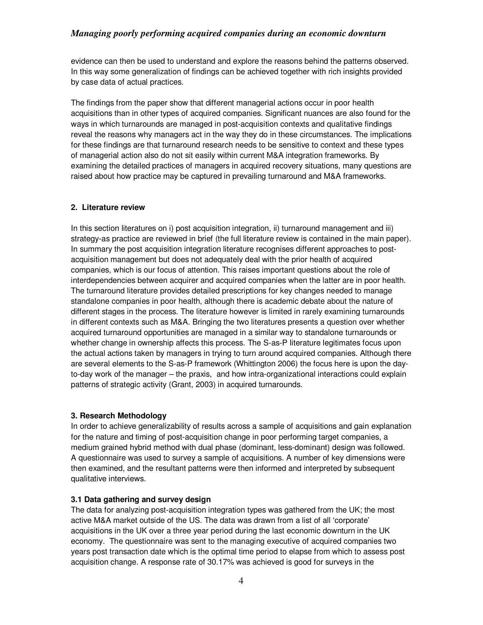# *Managing poorly performing acquired companies during an economic downturn*

evidence can then be used to understand and explore the reasons behind the patterns observed. In this way some generalization of findings can be achieved together with rich insights provided by case data of actual practices.

The findings from the paper show that different managerial actions occur in poor health acquisitions than in other types of acquired companies. Significant nuances are also found for the ways in which turnarounds are managed in post-acquisition contexts and qualitative findings reveal the reasons why managers act in the way they do in these circumstances. The implications for these findings are that turnaround research needs to be sensitive to context and these types of managerial action also do not sit easily within current M&A integration frameworks. By examining the detailed practices of managers in acquired recovery situations, many questions are raised about how practice may be captured in prevailing turnaround and M&A frameworks.

#### **2. Literature review**

In this section literatures on i) post acquisition integration, ii) turnaround management and iii) strategy-as practice are reviewed in brief (the full literature review is contained in the main paper). In summary the post acquisition integration literature recognises different approaches to postacquisition management but does not adequately deal with the prior health of acquired companies, which is our focus of attention. This raises important questions about the role of interdependencies between acquirer and acquired companies when the latter are in poor health. The turnaround literature provides detailed prescriptions for key changes needed to manage standalone companies in poor health, although there is academic debate about the nature of different stages in the process. The literature however is limited in rarely examining turnarounds in different contexts such as M&A. Bringing the two literatures presents a question over whether acquired turnaround opportunities are managed in a similar way to standalone turnarounds or whether change in ownership affects this process. The S-as-P literature legitimates focus upon the actual actions taken by managers in trying to turn around acquired companies. Although there are several elements to the S-as-P framework (Whittington 2006) the focus here is upon the dayto-day work of the manager – the praxis, and how intra-organizational interactions could explain patterns of strategic activity (Grant, 2003) in acquired turnarounds.

#### **3. Research Methodology**

In order to achieve generalizability of results across a sample of acquisitions and gain explanation for the nature and timing of post-acquisition change in poor performing target companies, a medium grained hybrid method with dual phase (dominant, less-dominant) design was followed. A questionnaire was used to survey a sample of acquisitions. A number of key dimensions were then examined, and the resultant patterns were then informed and interpreted by subsequent qualitative interviews.

#### **3.1 Data gathering and survey design**

The data for analyzing post-acquisition integration types was gathered from the UK; the most active M&A market outside of the US. The data was drawn from a list of all 'corporate' acquisitions in the UK over a three year period during the last economic downturn in the UK economy. The questionnaire was sent to the managing executive of acquired companies two years post transaction date which is the optimal time period to elapse from which to assess post acquisition change. A response rate of 30.17% was achieved is good for surveys in the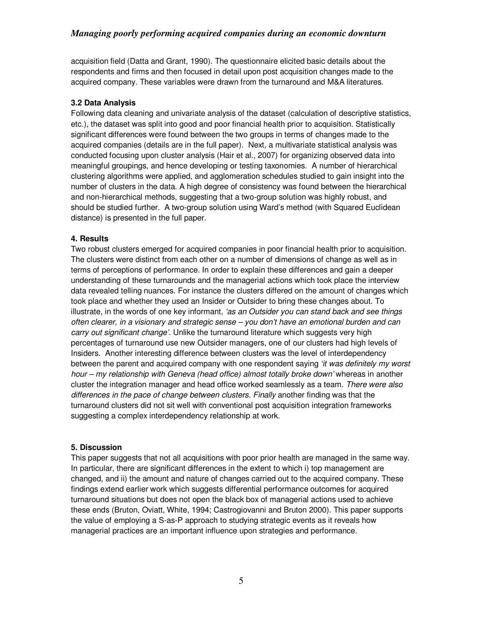# *Managing poorly performing acquired companies during an economic downturn*

acquisition field (Datta and Grant, 1990). The questionnaire elicited basic details about the respondents and firms and then focused in detail upon post acquisition changes made to the acquired company. These variables were drawn from the turnaround and M&A literatures.

#### **3.2 Data Analysis**

Following data cleaning and univariate analysis of the dataset (calculation of descriptive statistics, etc.), the dataset was split into good and poor financial health prior to acquisition. Statistically significant differences were found between the two groups in terms of changes made to the acquired companies (details are in the full paper). Next, a multivariate statistical analysis was conducted focusing upon cluster analysis (Hair et al., 2007) for organizing observed data into meaningful groupings, and hence developing or testing taxonomies. A number of hierarchical clustering algorithms were applied, and agglomeration schedules studied to gain insight into the number of clusters in the data. A high degree of consistency was found between the hierarchical and non-hierarchical methods, suggesting that a two-group solution was highly robust, and should be studied further. A two-group solution using Ward's method (with Squared Euclidean distance) is presented in the full paper.

#### **4. Results**

Two robust clusters emerged for acquired companies in poor financial health prior to acquisition. The clusters were distinct from each other on a number of dimensions of change as well as in terms of perceptions of performance. In order to explain these differences and gain a deeper understanding of these turnarounds and the managerial actions which took place the interview data revealed telling nuances. For instance the clusters differed on the amount of changes which took place and whether they used an Insider or Outsider to bring these changes about. To illustrate, in the words of one key informant, *'as an Outsider you can stand back and see things often clearer, in a visionary and strategic sense – you don't have an emotional burden and can carry out significant change'.* Unlike the turnaround literature which suggests very high percentages of turnaround use new Outsider managers, one of our clusters had high levels of Insiders*.* Another interesting difference between clusters was the level of interdependency between the parent and acquired company with one respondent saying *'it was definitely my worst*  hour – my relationship with Geneva (head office) almost totally broke down' whereas in another cluster the integration manager and head office worked seamlessly as a team*. There were also differences in the pace of change between clusters. Finally* another finding was that the turnaround clusters did not sit well with conventional post acquisition integration frameworks suggesting a complex interdependency relationship at work.

#### **5. Discussion**

This paper suggests that not all acquisitions with poor prior health are managed in the same way. In particular, there are significant differences in the extent to which i) top management are changed, and ii) the amount and nature of changes carried out to the acquired company. These findings extend earlier work which suggests differential performance outcomes for acquired turnaround situations but does not open the black box of managerial actions used to achieve these ends (Bruton, Oviatt, White, 1994; Castrogiovanni and Bruton 2000). This paper supports the value of employing a S-as-P approach to studying strategic events as it reveals how managerial practices are an important influence upon strategies and performance.